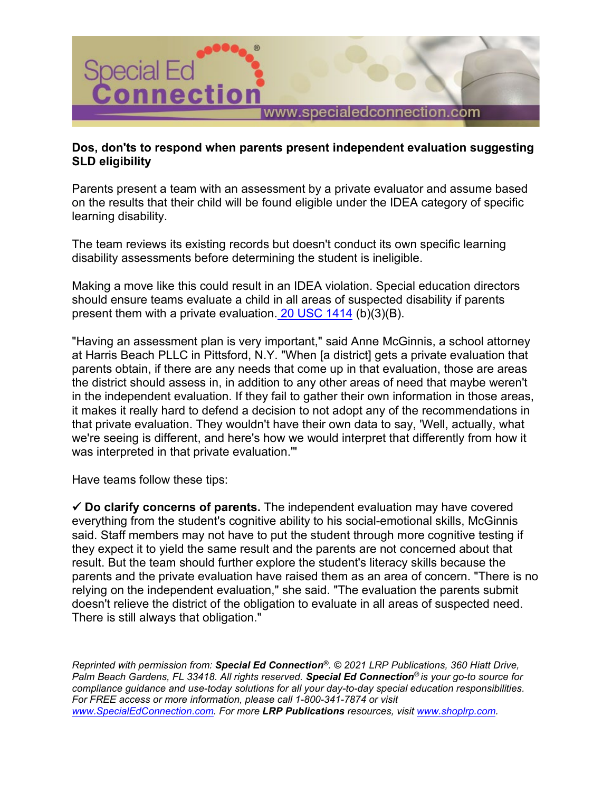

## **Dos, don'ts to respond when parents present independent evaluation suggesting SLD eligibility**

Parents present a team with an assessment by a private evaluator and assume based on the results that their child will be found eligible under the IDEA category of specific learning disability.

The team reviews its existing records but doesn't conduct its own specific learning disability assessments before determining the student is ineligible.

Making a move like this could result in an IDEA violation. Special education directors should ensure teams evaluate a child in all areas of suspected disability if parents present them with a private evaluation. [20 USC 1414](https://www.specialedconnection.com/LrpSecStoryTool/servlet/GetReg?cite=20+USC+1414) (b)(3)(B).

"Having an assessment plan is very important," said Anne McGinnis, a school attorney at Harris Beach PLLC in Pittsford, N.Y. "When [a district] gets a private evaluation that parents obtain, if there are any needs that come up in that evaluation, those are areas the district should assess in, in addition to any other areas of need that maybe weren't in the independent evaluation. If they fail to gather their own information in those areas, it makes it really hard to defend a decision to not adopt any of the recommendations in that private evaluation. They wouldn't have their own data to say, 'Well, actually, what we're seeing is different, and here's how we would interpret that differently from how it was interpreted in that private evaluation.'"

Have teams follow these tips:

 **Do clarify concerns of parents.** The independent evaluation may have covered everything from the student's cognitive ability to his social-emotional skills, McGinnis said. Staff members may not have to put the student through more cognitive testing if they expect it to yield the same result and the parents are not concerned about that result. But the team should further explore the student's literacy skills because the parents and the private evaluation have raised them as an area of concern. "There is no relying on the independent evaluation," she said. "The evaluation the parents submit doesn't relieve the district of the obligation to evaluate in all areas of suspected need. There is still always that obligation."

*Reprinted with permission from: Special Ed Connection®. © 2021 LRP Publications, 360 Hiatt Drive, Palm Beach Gardens, FL 33418. All rights reserved. Special Ed Connection® is your go-to source for compliance guidance and use-today solutions for all your day-to-day special education responsibilities. For FREE access or more information, please call 1-800-341-7874 or visit [www.SpecialEdConnection.com.](http://www.specialedconnection.com/) For more LRP Publications resources, visit [www.shoplrp.com.](http://www.shoplrp.com/)*